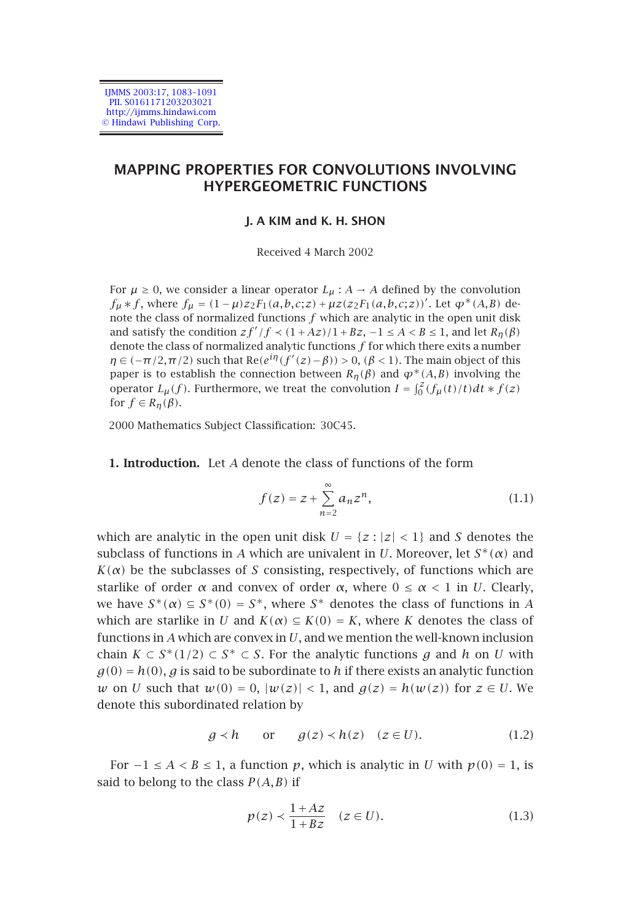IJMMS 2003:17, 1083–1091 PII. S0161171203203021 http://ijmms.hindawi.com © Hindawi Publishing Corp.

# **MAPPING PROPERTIES FOR CONVOLUTIONS INVOLVING HYPERGEOMETRIC FUNCTIONS**

### **J. A KIM and K. H. SHON**

<span id="page-0-0"></span>Received 4 March 2002

For  $\mu \ge 0$ , we consider a linear operator  $L_{\mu}: A \rightarrow A$  defined by the convolution *f<sub>µ</sub>* ∗*f*, where *f<sub>µ</sub>* =  $(1 - \mu)z_2F_1(a, b, c; z) + \mu z(z_2F_1(a, b, c; z))'$ . Let  $\varphi^*(A, B)$  denote the class of normalized functions  $f$  which are analytic in the open unit disk and satisfy the condition  $zf'/f \prec (1 + Az)/1 + Bz$ ,  $-1 \le A < B \le 1$ , and let  $R_{\eta}(\beta)$ denote the class of normalized analytic functions *f* for which there exits a number *η* ∈ (−*π/*2*,π/*2) such that Re( $e^{iη}(f'(z) - β)$ ) > 0, ( $β$  < 1). The main object of this paper is to establish the connection between  $R_n(\beta)$  and  $\varphi^*(A,B)$  involving the operator  $L_{\mu}(f)$ . Furthermore, we treat the convolution  $I = \int_0^2 (f_{\mu}(t)/t)dt * f(z)$ for  $f \in R_{\eta}(\beta)$ .

2000 Mathematics Subject Classification: 30C45.

**1. Introduction.** Let *A* denote the class of functions of the form

$$
f(z) = z + \sum_{n=2}^{\infty} a_n z^n,
$$
 (1.1)

which are analytic in the open unit disk  $U = \{z : |z| < 1\}$  and *S* denotes the subclass of functions in *A* which are univalent in *U*. Moreover, let  $S^*(\alpha)$  and  $K(\alpha)$  be the subclasses of *S* consisting, respectively, of functions which are starlike of order  $\alpha$  and convex of order  $\alpha$ , where  $0 \leq \alpha < 1$  in *U*. Clearly, we have  $S^*(\alpha) \subseteq S^*(0) = S^*$ , where  $S^*$  denotes the class of functions in *A* which are starlike in *U* and  $K(\alpha) \subseteq K(0) = K$ , where *K* denotes the class of functions in *A* which are convex in *U*, and we mention the well-known inclusion chain *K* ⊂ *S*<sup>\*</sup>(1/2) ⊂ *S*<sup>\*</sup> ⊂ *S*. For the analytic functions *g* and *h* on *U* with  $g(0) = h(0)$ , *g* is said to be subordinate to *h* if there exists an analytic function *w* on *U* such that *w*(0*)* = 0, |*w*(*z*)| < 1, and *g*(*z*) = *h*(*w*(*z*)) for *z* ∈ *U*. We denote this subordinated relation by

$$
g < h \qquad \text{or} \qquad g(z) < h(z) \quad (z \in U). \tag{1.2}
$$

For  $-1 \leq A < B \leq 1$ , a function *p*, which is analytic in *U* with *p*(0*)* = 1, is said to belong to the class  $P(A, B)$  if

$$
p(z) \prec \frac{1+Az}{1+Bz} \quad (z \in U). \tag{1.3}
$$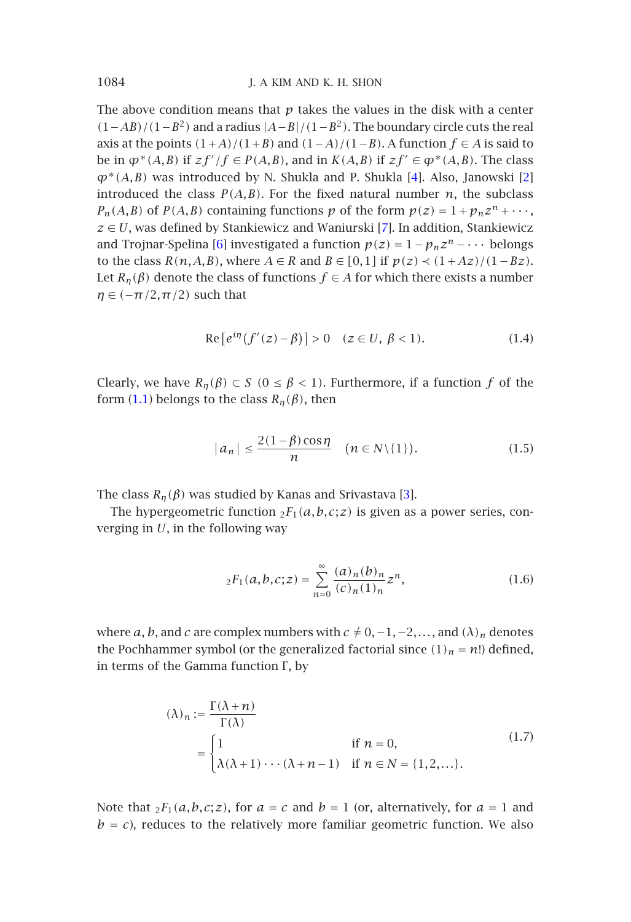The above condition [m](#page-8-1)eans that  $p$  takes the values in the disk with a center *(*1−*AB)/(*1−*B*2*)* and a radius |*A*−*B*|*/(*1−*B*2*)*. The boundary circle cuts the real axis at the points  $(1+A)/(1+B)$  and  $(1-A)/(1-B)$ . A function *f* ∈ *A* is said to be in  $\varphi^*(A, B)$  if  $zf'/f \in P(A, B)$ , and in  $K(A, B)$  if  $zf' \in \varphi^*(A, B)$ . The class *ϕ*∗*(A,B)* was introduced by N. Shukla and P. Shukla [4]. Also, Janowski [2] introduced the class  $P(A, B)$ . For the fixed natural number  $n$ , the subclass  $P_n(A, B)$  of  $P(A, B)$  containing functions  $p$  of the form  $p(z) = 1 + p_n z^n + \cdots$ , *z* ∈ *U*, was defined by Stankiewicz and Waniurski [7]. In addition, Stankiewicz and T[rojn](#page-0-0)ar-Spelina [6] investigated a function  $p(z) = 1 - p_n z^n - \cdots$  belongs to the class *R*( $n$ ,*A*,*B*), where *A* ∈ *R* and *B* ∈ [0,1] if  $p(z)$  <  $(1 + Az)/(1 - Bz)$ . Let  $R_n(\beta)$  denote the class of functions  $f \in A$  for which there exists a number  $\eta \in (-\pi/2, \pi/2)$  such that

$$
Re[e^{i\eta}(f'(z) - \beta)] > 0 \quad (z \in U, \ \beta < 1). \tag{1.4}
$$

Clearly, we have  $R_n(\beta) \subset S$  ( $0 \leq \beta < 1$ ). Furthermore, if a function  $f$  of the form (1.1) belongs to the class  $R_n(\beta)$ , then

$$
|a_n| \le \frac{2(1-\beta)\cos\eta}{n} \quad (n \in N \setminus \{1\}).
$$
 (1.5)

The class  $R_n(\beta)$  was studied by Kanas and Srivastava [3].

The hypergeometric function  $_2F_1(a,b,c;z)$  is given as a power series, converging in *U*, in the following way

$$
{}_2F_1(a,b,c;z) = \sum_{n=0}^{\infty} \frac{(a)_n(b)_n}{(c)_n(1)_n} z^n,
$$
\n(1.6)

where *a*, *b*, and *c* are complex numbers with  $c \neq 0, -1, -2, \ldots$ , and  $(\lambda)_n$  denotes the Pochhammer symbol (or the generalized factorial since  $(1)_n = n!$ ) defined, in terms of the Gamma function Γ, by

$$
(\lambda)_n := \frac{\Gamma(\lambda + n)}{\Gamma(\lambda)}
$$
  
= 
$$
\begin{cases} 1 & \text{if } n = 0, \\ \lambda(\lambda + 1) \cdots (\lambda + n - 1) & \text{if } n \in N = \{1, 2, \dots\}. \end{cases}
$$
 (1.7)

Note that  ${}_{2}F_{1}(a,b,c;z)$ , for  $a = c$  and  $b = 1$  (or, alternatively, for  $a = 1$  and  $b = c$ ), reduces to the relatively more familiar geometric function. We also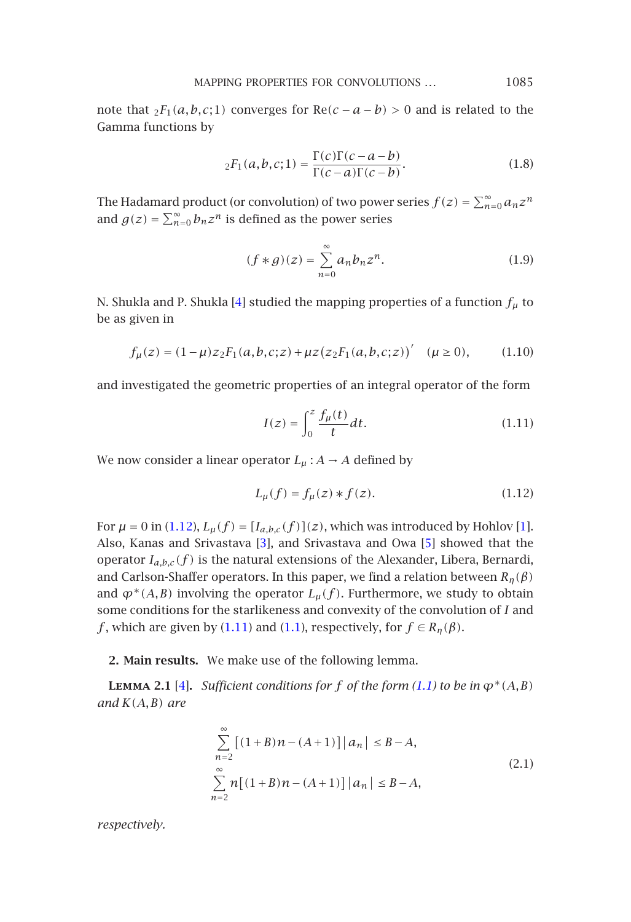MAPPING PROPERTIES FOR CONVOLUTIONS *...* 1085

note that  ${}_{2}F_{1}(a,b,c;1)$  converges for Re $(c-a-b) > 0$  and is related to the Gamma functions by

$$
{}_{2}F_{1}(a,b,c;1) = \frac{\Gamma(c)\Gamma(c-a-b)}{\Gamma(c-a)\Gamma(c-b)}.
$$
\n(1.8)

The Hadamard product (or convolution) of two power series  $f(z) = \sum_{n=0}^{\infty} a_n z^n$ and  $g(z) = \sum_{n=0}^{\infty} b_n z^n$  is defined as the power series

<span id="page-2-0"></span>
$$
(f * g)(z) = \sum_{n=0}^{\infty} a_n b_n z^n.
$$
 (1.9)

N. Shukla and P. Shukla [4] studied the mapping properties of a function  $f_{\mu}$  to be as given in

$$
f_{\mu}(z) = (1 - \mu)z_2 F_1(a, b, c; z) + \mu z (z_2 F_1(a, b, c; z))' \quad (\mu \ge 0), \tag{1.10}
$$

and investig[ated](#page-2-0) [t](#page-2-0)he geometric properties of an integral operator of the fo[rm](#page-7-1)

$$
I(z) = \int_0^z \frac{f_\mu(t)}{t} dt.
$$
 (1.11)

We now consider a linear operator  $L_{\mu}$ :  $A \rightarrow A$  defined by

$$
L_{\mu}(f) = f_{\mu}(z) * f(z).
$$
 (1.12)

<span id="page-2-1"></span>For  $\mu = 0$  in (1.12),  $L_{\mu}(f) = [I_{a,b,c}(f)](z)$ , which was introduced by Hohlov [1]. Also, Kanas a[nd](#page-8-2) Srivastava [3], and Srivastava and Ow[a](#page-0-0) [\[5\]](#page-0-0) showed that the operator  $I_{a,b,c}(f)$  is the natural extensions of the Alexander, Libera, Bernardi, and Carlson-Shaffer operators. In this paper, we find a relation between *Rη(β)* and  $\varphi^*(A, B)$  involving the operator  $L_\mu(f)$ . Furthermore, we study to obtain some conditions for the starlikeness and convexity of the convolution of *I* and *f*, which are given by (1.11) and (1.1), respectively, for  $f \in R_n(\beta)$ .

**2. Main results.** We make use of the following lemma.

**LEMMA 2.1** [4]. *Sufficient conditions for f of the form (1.1) to be in*  $\varphi^*(A, B)$ *and K(A,B) are*

$$
\sum_{n=2}^{\infty} \left[ (1+B)n - (A+1) \right] |a_n| \le B - A,
$$
\n
$$
\sum_{n=2}^{\infty} n \left[ (1+B)n - (A+1) \right] |a_n| \le B - A,
$$
\n(2.1)

*respectively.*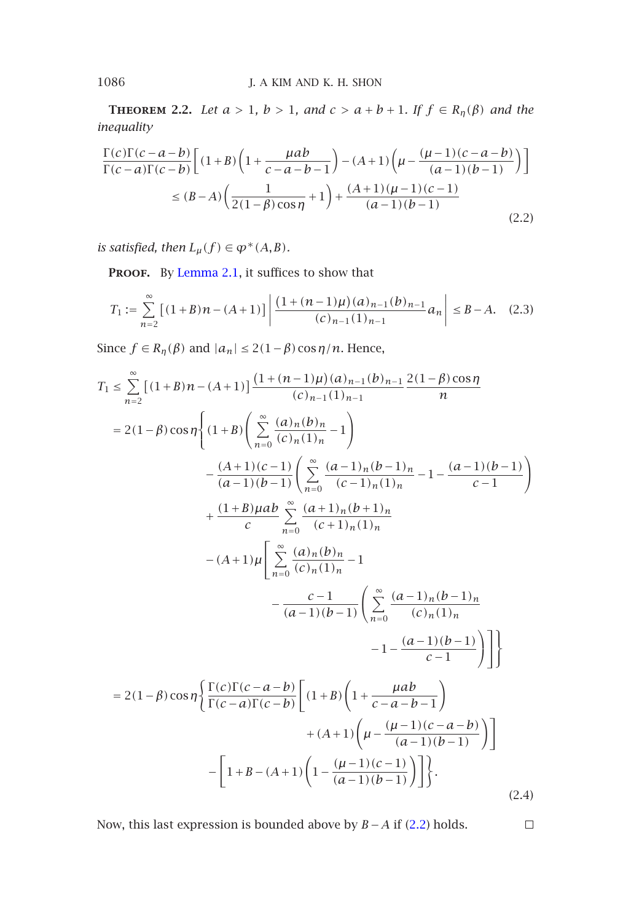**THEOREM 2.2.** *Let*  $a > 1$ ,  $b > 1$ , and  $c > a + b + 1$ . If  $f \in R_n(\beta)$  and the *inequality*

$$
\frac{\Gamma(c)\Gamma(c-a-b)}{\Gamma(c-a)\Gamma(c-b)} \left[ (1+B)\left(1+\frac{\mu ab}{c-a-b-1}\right) - (A+1)\left(\mu - \frac{(\mu-1)(c-a-b)}{(a-1)(b-1)}\right) \right]
$$
  

$$
\le (B-A)\left(\frac{1}{2(1-\beta)\cos\eta} + 1\right) + \frac{(A+1)(\mu-1)(c-1)}{(a-1)(b-1)} \tag{2.2}
$$

*is satisfied, then*  $L_{\mu}(f) \in \varphi^*(A, B)$ *.* 

PROOF. By Lemma 2.1, it suffices to show that

$$
T_1 := \sum_{n=2}^{\infty} \left[ (1+B)n - (A+1) \right] \left| \frac{\left(1 + (n-1)\mu\right)(a)_{n-1}(b)_{n-1}}{(c)_{n-1}(1)_{n-1}} a_n \right| \le B - A. \tag{2.3}
$$

Since  $f \in R_{\eta}(\beta)$  and  $|a_n| \leq 2(1-\beta)\cos(\eta/n)$ . Hence,

$$
T_{1} \leq \sum_{n=2}^{\infty} \left[ (1+B)n - (A+1) \right] \frac{(1 + (n-1)\mu)(a)_{n-1}(b)_{n-1}}{(c)_{n-1}(1)_{n-1}} \frac{2(1-\beta)\cos\eta}{n}
$$
  
\n
$$
= 2(1-\beta)\cos\eta \left\{ (1+B) \left( \sum_{n=0}^{\infty} \frac{(a)_{n}(b)_{n}}{(c)_{n}(1)_{n}} - 1 \right) - \frac{(A+1)(c-1)}{(a-1)(b-1)} \left( \sum_{n=0}^{\infty} \frac{(a-1)_{n}(b-1)_{n}}{(c-1)_{n}(1)_{n}} - 1 - \frac{(a-1)(b-1)}{c-1} \right) + \frac{(1+B)\mu ab}{c} \sum_{n=0}^{\infty} \frac{(a+1)_{n}(b+1)_{n}}{(c+1)_{n}(1)_{n}} - (A+1)\mu \left[ \sum_{n=0}^{\infty} \frac{(a)_{n}(b)_{n}}{(c)_{n}(1)_{n}} - 1 - \frac{c-1}{(a-1)(b-1)} \left( \sum_{n=0}^{\infty} \frac{(a-1)_{n}(b-1)_{n}}{(c)_{n}(1)_{n}} - 1 - \frac{(a-1)(b-1)}{c-1} \right) \right] \} \n= 2(1-\beta)\cos\eta \left\{ \frac{\Gamma(c)\Gamma(c-a-b)}{\Gamma(c-a)\Gamma(c-b)} \left[ (1+B)\left( 1 + \frac{\mu ab}{c-a-b-1} \right) - (a-1)(b-1) \right) - \left[ 1+B-(A+1)\left( \mu - \frac{(\mu-1)(c-a-b)}{(a-1)(b-1)} \right) \right] \right\}.
$$
\n(2.4)

Now, this last expression is bounded above by *B* −*A* if (2.2) holds.

 $\Box$ 

<span id="page-3-0"></span>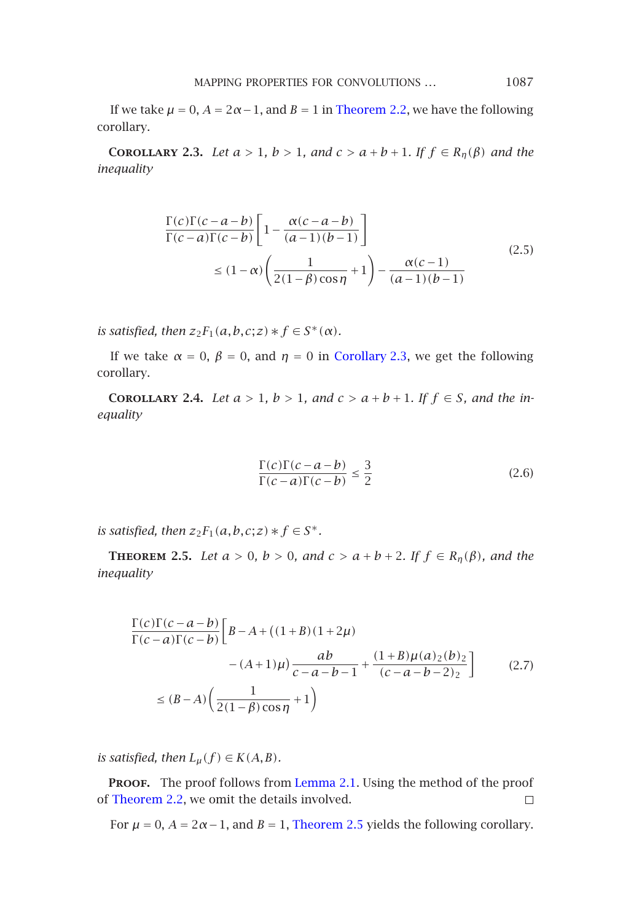MAPPING PROPERTIES FOR CONVOLUTIONS *...* 1087

<span id="page-4-0"></span>If we take  $\mu = 0$ ,  $A = 2\alpha - 1$ , and  $B = 1$  in Theorem 2.2, we have the following corollary.

**COROLLARY** 2.3. *Let*  $a > 1$ ,  $b > 1$ , and  $c > a + b + 1$ . If  $f \in R_n(\beta)$  and the *inequality*

$$
\frac{\Gamma(c)\Gamma(c-a-b)}{\Gamma(c-a)\Gamma(c-b)} \left[ 1 - \frac{\alpha(c-a-b)}{(a-1)(b-1)} \right]
$$
\n
$$
\leq (1-\alpha) \left( \frac{1}{2(1-\beta)\cos\eta} + 1 \right) - \frac{\alpha(c-1)}{(a-1)(b-1)} \tag{2.5}
$$

*is satisfied, then*  $z_2F_1(a,b,c;z) * f \in S^*(\alpha)$ *.* 

If we take  $\alpha = 0$ ,  $\beta = 0$ , and  $\eta = 0$  in Corollary 2.3, we get the following corollary.

<span id="page-4-1"></span>**COROLLARY** 2.4. *Let*  $a > 1$ ,  $b > 1$ , and  $c > a + b + 1$ . If  $f \in S$ , and the in*equality*

$$
\frac{\Gamma(c)\Gamma(c-a-b)}{\Gamma(c-a)\Gamma(c-b)} \le \frac{3}{2}
$$
\n(2.6)

*is satisfied, then*  $z_2F_1(a,b,c;z) * f \in S^*$ .

**THEOREM 2.5.** *Let*  $a > 0$ *,*  $b > 0$ *,* and  $c > a + b + 2$ *.* If  $f \in R_n(\beta)$ *,* and the *inequality*

$$
\frac{\Gamma(c)\Gamma(c-a-b)}{\Gamma(c-a)\Gamma(c-b)} \left[ B - A + ((1+B)(1+2\mu) - (A+1)\mu) \frac{ab}{c-a-b-1} + \frac{(1+B)\mu(a)_2(b)_2}{(c-a-b-2)_2} \right] \tag{2.7}
$$
\n
$$
\le (B-A) \left( \frac{1}{2(1-\beta)\cos\eta} + 1 \right)
$$

*is satisfied, then*  $L_{\mu}(f) \in K(A, B)$ *.* 

PROOF. The proof follows from Lemma 2.1. Using the method of the proof of Theorem 2.2, we omit the details involved.  $\Box$ 

For  $\mu = 0$ ,  $A = 2\alpha - 1$ , and  $B = 1$ , Theorem 2.5 yields the following corollary.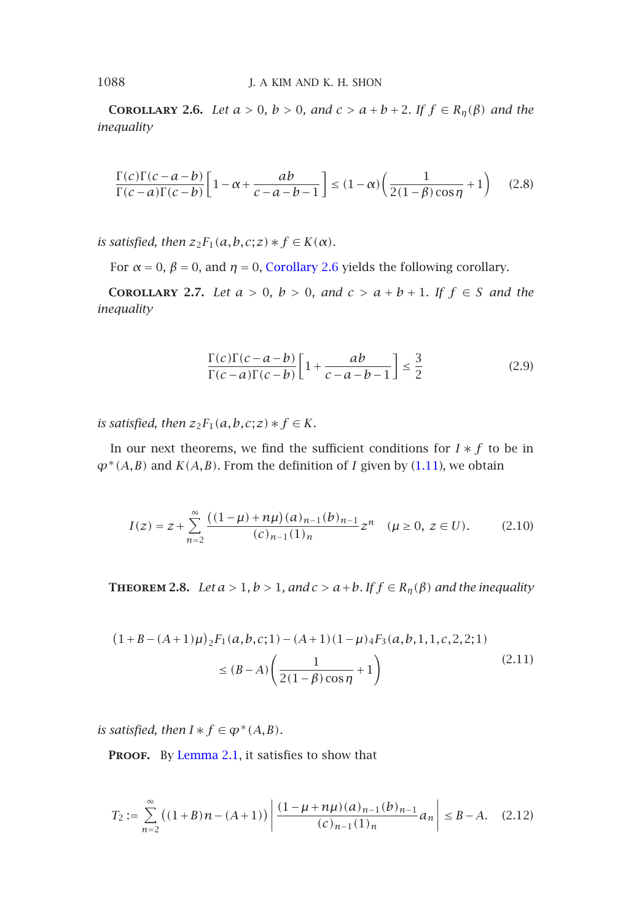**COROLLARY 2.6.** *Let*  $a > 0$ *[,](#page-5-0)*  $b > 0$ *,* [and](#page-5-0)  $c > a + b + 2$ *. If*  $f \in R_\eta(\beta)$  *and the inequality*

$$
\frac{\Gamma(c)\Gamma(c-a-b)}{\Gamma(c-a)\Gamma(c-b)} \left[1 - \alpha + \frac{ab}{c-a-b-1}\right] \le (1 - \alpha) \left(\frac{1}{2(1-\beta)\cos\eta} + 1\right) \tag{2.8}
$$

*is satisfied, then*  $z_2F_1(a,b,c;z) * f \in K(\alpha)$ *.* 

For  $\alpha = 0$ ,  $\beta = 0$ , and  $\eta = 0$ , Corollary 2.6 yields the following corollary.

**COROLLARY** 2.7. *Let*  $a > 0$ *,*  $b > 0$ *, and*  $c > a + b + 1$ *. If*  $f \in S$  *and the inequality*

$$
\frac{\Gamma(c)\Gamma(c-a-b)}{\Gamma(c-a)\Gamma(c-b)} \left[1 + \frac{ab}{c-a-b-1}\right] \le \frac{3}{2}
$$
\n(2.9)

<span id="page-5-1"></span>*is satisfied, then*  $z_2F_1(a,b,c;z)*f \in K$ *.* 

In our next theorems, we find the sufficient conditions for  $I * f$  to be in  $\varphi$ <sup>\*</sup>(*A,B*) and *K*(*A,B*). From the definition of *I* given by (1.11), we obtain

$$
I(z) = z + \sum_{n=2}^{\infty} \frac{((1-\mu)+n\mu)(a)_{n-1}(b)_{n-1}}{(c)_{n-1}(1)_n} z^n \quad (\mu \ge 0, \ z \in U). \tag{2.10}
$$

**THEOREM 2.8.** *Let*  $a > 1$ ,  $b > 1$ , and  $c > a + b$ . If  $f \in R_n(\beta)$  and the inequality

$$
(1 + B - (A + 1)\mu)_{2}F_{1}(a, b, c; 1) - (A + 1)(1 - \mu)_{4}F_{3}(a, b, 1, 1, c, 2, 2; 1)
$$
  

$$
\leq (B - A) \left( \frac{1}{2(1 - \beta)\cos\eta} + 1 \right)
$$
(2.11)

*is satisfied, then*  $I * f \in \varphi^*(A, B)$ *.* 

PROOF. By Lemma 2.1, it satisfies to show that

$$
T_2 := \sum_{n=2}^{\infty} \left( (1+B)n - (A+1) \right) \left| \frac{(1 - \mu + n\mu)(a)_{n-1}(b)_{n-1}}{(c)_{n-1}(1)_n} a_n \right| \le B - A. \quad (2.12)
$$

<span id="page-5-0"></span>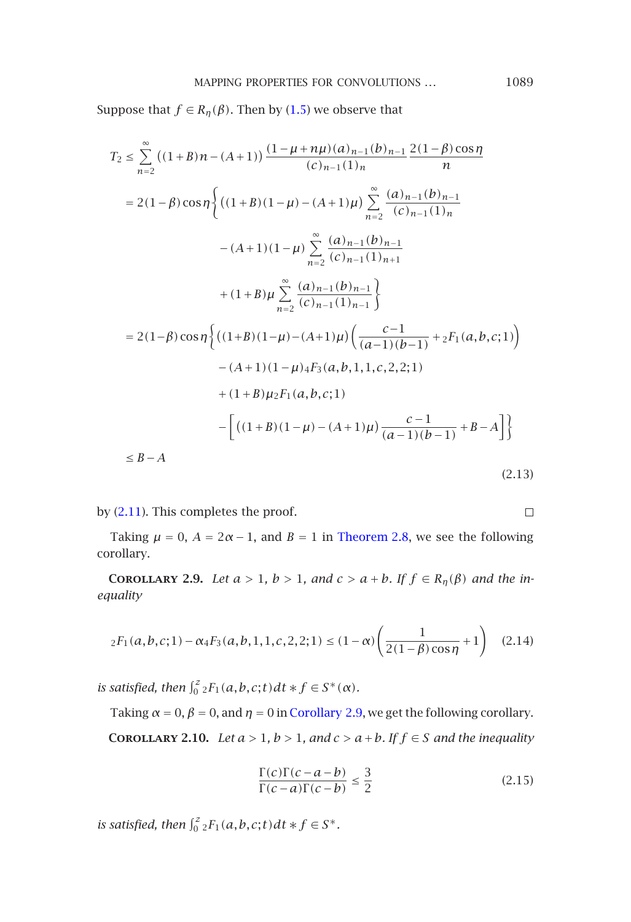### MAPPING PROPERTIES FOR CONVOLUTIONS ... 1089

Suppose that *f* ∈ *R*<sub>*n*</sub>( $\beta$ ). Then by (1.5) we observe that

$$
T_2 \le \sum_{n=2}^{\infty} ((1+B)n - (A+1)) \frac{(1-\mu+n\mu)(a)_{n-1}(b)_{n-1}}{(c)_{n-1}(1)_n} \frac{2(1-\beta)\cos\eta}{n}
$$
  
\n
$$
= 2(1-\beta)\cos\eta \Biggl\{ \left( (1+B)(1-\mu) - (A+1)\mu \right) \sum_{n=2}^{\infty} \frac{(a)_{n-1}(b)_{n-1}}{(c)_{n-1}(1)_n} - (A+1)(1-\mu) \sum_{n=2}^{\infty} \frac{(a)_{n-1}(b)_{n-1}}{(c)_{n-1}(1)_{n+1}} + (1+B)\mu \sum_{n=2}^{\infty} \frac{(a)_{n-1}(b)_{n-1}}{(c)_{n-1}(1)_{n-1}} \Biggr\}
$$
  
\n
$$
= 2(1-\beta)\cos\eta \Biggl\{ \left( (1+B)(1-\mu) - (A+1)\mu \right) \left( \frac{c-1}{(a-1)(b-1)} + {}_2F_1(a,b,c;1) \right) - (A+1)(1-\mu) {}_4F_3(a,b,1,1,c,2,2;1) + (1+B)\mu {}_2F_1(a,b,c;1) \Biggr\}
$$
  
\n
$$
- \Biggl[ \left( (1+B)(1-\mu) - (A+1)\mu \right) \frac{c-1}{(a-1)(b-1)} + B-A \Biggr] \Biggr\}
$$
  
\n
$$
\le B-A
$$
 (2.12)

$$
(2.13)
$$

 $\Box$ 

<span id="page-6-0"></span>by (2.11). This completes the proof.

Taking  $\mu = 0$ ,  $A = 2\alpha - 1$ , and  $B = 1$  in Theorem 2.8, we see the following corollary.

**COROLLARY 2.9.** *Let*  $a > 1$ [,](#page-6-0)  $b > 1$ , [and](#page-6-0)  $c > a + b$ . If  $f \in R_n(\beta)$  and the in*equality*

$$
{}_2F_1(a,b,c;1) - \alpha {}_4F_3(a,b,1,1,c,2,2;1) \le (1-\alpha) \left(\frac{1}{2(1-\beta)\cos\eta} + 1\right) \quad (2.14)
$$

*is satisfied, then*  $\int_0^z 2F_1(a,b,c;t)dt * f \in S^*(\alpha)$ *.* 

Taking  $\alpha = 0$ ,  $\beta = 0$ , and  $\eta = 0$  in Corollary 2.9, we get the following corollary. **COROLLARY 2.10.** *Let*  $a > 1$ ,  $b > 1$ , and  $c > a + b$ *. If*  $f \in S$  *and the inequality* 

$$
\frac{\Gamma(c)\Gamma(c-a-b)}{\Gamma(c-a)\Gamma(c-b)} \le \frac{3}{2}
$$
\n(2.15)

*is satisfied, then*  $\int_0^z 2F_1(a,b,c;t)dt * f \in S^*$ .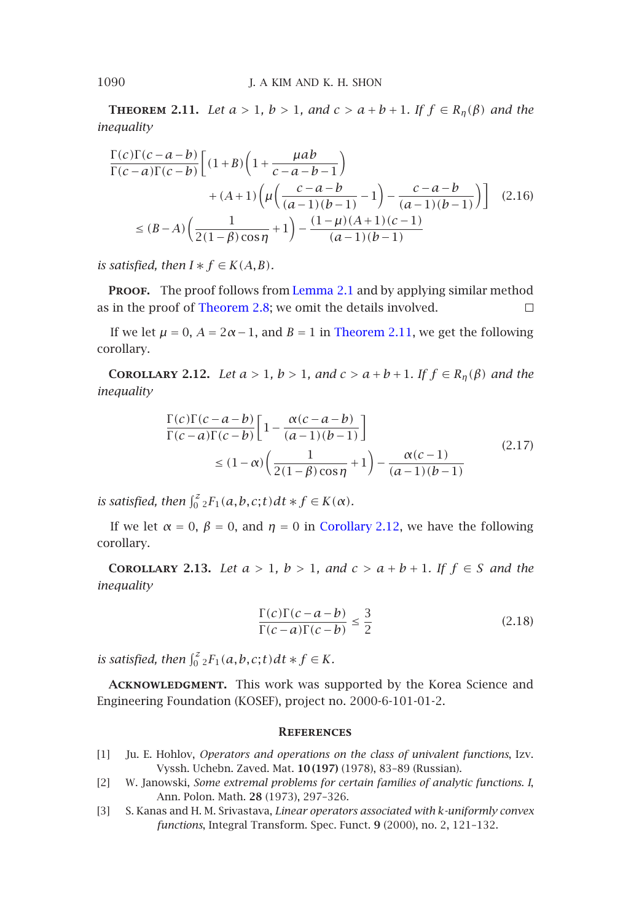**THEOREM 2.11.** *Let*  $a > 1$ ,  $b > 1$ , and  $c > a + b + 1$ . If  $f \in R_n(\beta)$  and the *inequality*

$$
\frac{\Gamma(c)\Gamma(c-a-b)}{\Gamma(c-a)\Gamma(c-b)} \Big[ (1+B)\left(1+\frac{\mu ab}{c-a-b-1}\right) + (A+1)\left(\mu\left(\frac{c-a-b}{(a-1)(b-1)}-1\right)-\frac{c-a-b}{(a-1)(b-1)}\right) \Big] \tag{2.16}
$$
\n
$$
\le (B-A)\left(\frac{1}{2(1-\beta)\cos\eta}+1\right)-\frac{(1-\mu)(A+1)(c-1)}{(a-1)(b-1)}
$$

<span id="page-7-3"></span>*is satisfied, then*  $I * f \in K(A, B)$ *.* 

PROOF. The proof follows from Lemma 2.1 and by applying similar method as in the proof of Theorem 2.8; we omit the details involved.  $\Box$ 

If we let  $\mu = 0$ ,  $A = 2\alpha - 1$ , and  $B = 1$  in Theorem 2.11, we get the following corollary.

**COROLLARY** 2.12. *Let*  $a > 1$ ,  $b > 1$ , and  $c > a + b + 1$ . If  $f \in R_n(\beta)$  and the *inequality*

$$
\frac{\Gamma(c)\Gamma(c-a-b)}{\Gamma(c-a)\Gamma(c-b)} \left[ 1 - \frac{\alpha(c-a-b)}{(a-1)(b-1)} \right]
$$
\n
$$
\leq (1-\alpha) \left( \frac{1}{2(1-\beta)\cos\eta} + 1 \right) - \frac{\alpha(c-1)}{(a-1)(b-1)} \tag{2.17}
$$

*is satisfied, then*  $\int_0^z 2F_1(a,b,c;t)dt * f \in K(\alpha)$ *.* 

If we let  $\alpha = 0$ ,  $\beta = 0$ , and  $\eta = 0$  in Corollary 2.12, we have the following corollary.

<span id="page-7-1"></span>**COROLLARY** 2.13. *Let*  $a > 1$ ,  $b > 1$ , and  $c > a + b + 1$ . If  $f \in S$  and the *inequality*

$$
\frac{\Gamma(c)\Gamma(c-a-b)}{\Gamma(c-a)\Gamma(c-b)} \le \frac{3}{2}
$$
\n(2.18)

<span id="page-7-0"></span>*is satisfied, then*  $\int_0^z 2F_1(a,b,c;t)dt * f \in K$ *.* 

ACKNOWLEDGMENT. This work was supported by the Korea Science and Engineering Foundation (KOSEF), project no. 2000-6-101-01-2.

#### **References**

- [1] Ju. E. Hohlov, *Operators and operations on the class of univalent functions*, Izv. Vyssh. Uchebn. Zaved. Mat. **10 (197)** (1978), 83–89 (Russian).
- [2] W. Janowski, *Some extremal problems for certain families of analytic functions. I*, Ann. Polon. Math. **28** (1973), 297–326.
- [3] S. Kanas and H. M. Srivastava, *Linear operators associated with k-uniformly convex functions*, Integral Transform. Spec. Funct. **9** (2000), no. 2, 121–132.

<span id="page-7-2"></span>